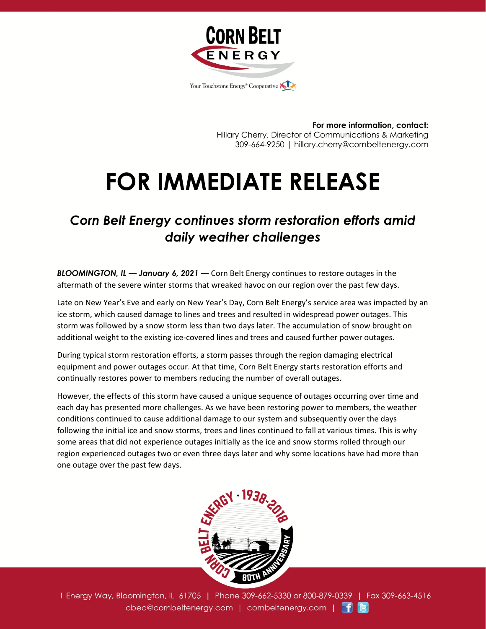

**For more information, contact:** Hillary Cherry, Director of Communications & Marketing 309-664-9250 | hillary.cherry@cornbeltenergy.com

## **FOR IMMEDIATE RELEASE**

## *Corn Belt Energy continues storm restoration efforts amid daily weather challenges*

*BLOOMINGTON, IL — January 6, 2021 —* Corn Belt Energy continues to restore outages in the aftermath of the severe winter storms that wreaked havoc on our region over the past few days.

Late on New Year's Eve and early on New Year's Day, Corn Belt Energy's service area was impacted by an ice storm, which caused damage to lines and trees and resulted in widespread power outages. This storm was followed by a snow storm less than two days later. The accumulation of snow brought on additional weight to the existing ice-covered lines and trees and caused further power outages.

During typical storm restoration efforts, a storm passes through the region damaging electrical equipment and power outages occur. At that time, Corn Belt Energy starts restoration efforts and continually restores power to members reducing the number of overall outages.

However, the effects of this storm have caused a unique sequence of outages occurring over time and each day has presented more challenges. As we have been restoring power to members, the weather conditions continued to cause additional damage to our system and subsequently over the days following the initial ice and snow storms, trees and lines continued to fall at various times. This is why some areas that did not experience outages initially as the ice and snow storms rolled through our region experienced outages two or even three days later and why some locations have had more than one outage over the past few days.



1 Energy Way, Bloomington, IL 61705 | Phone 309-662-5330 or 800-879-0339 | Fax 309-663-4516 cbec@cornbeltenergy.com | cornbeltenergy.com | f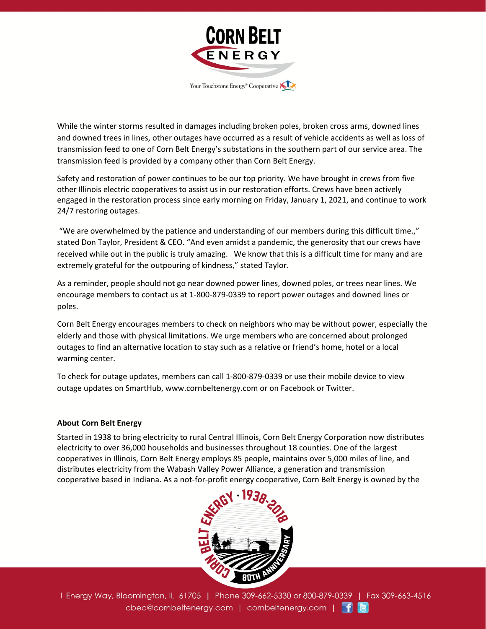

While the winter storms resulted in damages including broken poles, broken cross arms, downed lines and downed trees in lines, other outages have occurred as a result of vehicle accidents as well as loss of transmission feed to one of Corn Belt Energy's substations in the southern part of our service area. The transmission feed is provided by a company other than Corn Belt Energy.

Safety and restoration of power continues to be our top priority. We have brought in crews from five other Illinois electric cooperatives to assist us in our restoration efforts. Crews have been actively engaged in the restoration process since early morning on Friday, January 1, 2021, and continue to work 24/7 restoring outages.

"We are overwhelmed by the patience and understanding of our members during this difficult time.," stated Don Taylor, President & CEO. "And even amidst a pandemic, the generosity that our crews have received while out in the public is truly amazing. We know that this is a difficult time for many and are extremely grateful for the outpouring of kindness," stated Taylor.

As a reminder, people should not go near downed power lines, downed poles, or trees near lines. We encourage members to contact us at 1-800-879-0339 to report power outages and downed lines or poles.

Corn Belt Energy encourages members to check on neighbors who may be without power, especially the elderly and those with physical limitations. We urge members who are concerned about prolonged outages to find an alternative location to stay such as a relative or friend's home, hotel or a local warming center.

To check for outage updates, members can call 1-800-879-0339 or use their mobile device to view outage updates on SmartHub, www.cornbeltenergy.com or on Facebook or Twitter.

## **About Corn Belt Energy**

Started in 1938 to bring electricity to rural Central Illinois, Corn Belt Energy Corporation now distributes electricity to over 36,000 households and businesses throughout 18 counties. One of the largest cooperatives in Illinois, Corn Belt Energy employs 85 people, maintains over 5,000 miles of line, and distributes electricity from the Wabash Valley Power Alliance, a generation and transmission cooperative based in Indiana. As a not-for-profit energy cooperative, Corn Belt Energy is owned by the



1 Energy Way, Bloomington, IL 61705 | Phone 309-662-5330 or 800-879-0339 | Fax 309-663-4516 cbec@cornbeltenergy.com | cornbeltenergy.com | f